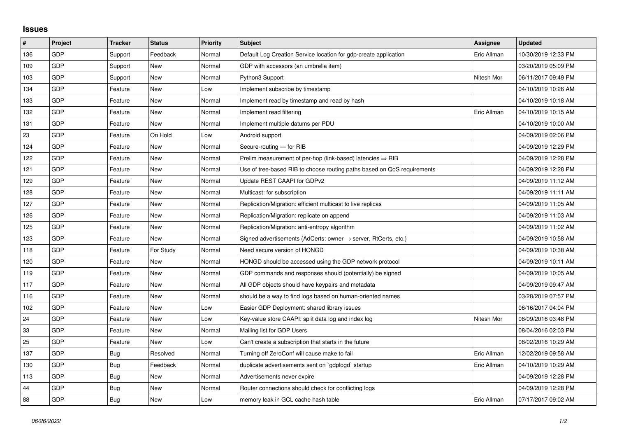## **Issues**

| $\sharp$ | <b>Project</b> | <b>Tracker</b> | <b>Status</b> | <b>Priority</b> | <b>Subject</b>                                                             | Assignee    | <b>Updated</b>      |
|----------|----------------|----------------|---------------|-----------------|----------------------------------------------------------------------------|-------------|---------------------|
| 136      | GDP            | Support        | Feedback      | Normal          | Default Log Creation Service location for gdp-create application           | Eric Allman | 10/30/2019 12:33 PM |
| 109      | <b>GDP</b>     | Support        | <b>New</b>    | Normal          | GDP with accessors (an umbrella item)                                      |             | 03/20/2019 05:09 PM |
| 103      | <b>GDP</b>     | Support        | <b>New</b>    | Normal          | Python3 Support                                                            | Nitesh Mor  | 06/11/2017 09:49 PM |
| 134      | GDP            | Feature        | <b>New</b>    | Low             | Implement subscribe by timestamp                                           |             | 04/10/2019 10:26 AM |
| 133      | <b>GDP</b>     | Feature        | <b>New</b>    | Normal          | Implement read by timestamp and read by hash                               |             | 04/10/2019 10:18 AM |
| 132      | <b>GDP</b>     | Feature        | New           | Normal          | Implement read filtering                                                   | Eric Allman | 04/10/2019 10:15 AM |
| 131      | GDP            | Feature        | <b>New</b>    | Normal          | Implement multiple datums per PDU                                          |             | 04/10/2019 10:00 AM |
| 23       | <b>GDP</b>     | Feature        | On Hold       | Low             | Android support                                                            |             | 04/09/2019 02:06 PM |
| 124      | <b>GDP</b>     | Feature        | <b>New</b>    | Normal          | Secure-routing - for RIB                                                   |             | 04/09/2019 12:29 PM |
| 122      | <b>GDP</b>     | Feature        | <b>New</b>    | Normal          | Prelim measurement of per-hop (link-based) latencies $\Rightarrow$ RIB     |             | 04/09/2019 12:28 PM |
| 121      | <b>GDP</b>     | Feature        | <b>New</b>    | Normal          | Use of tree-based RIB to choose routing paths based on QoS requirements    |             | 04/09/2019 12:28 PM |
| 129      | <b>GDP</b>     | Feature        | <b>New</b>    | Normal          | Update REST CAAPI for GDPv2                                                |             | 04/09/2019 11:12 AM |
| 128      | <b>GDP</b>     | Feature        | New           | Normal          | Multicast: for subscription                                                |             | 04/09/2019 11:11 AM |
| 127      | GDP            | Feature        | <b>New</b>    | Normal          | Replication/Migration: efficient multicast to live replicas                |             | 04/09/2019 11:05 AM |
| 126      | <b>GDP</b>     | Feature        | <b>New</b>    | Normal          | Replication/Migration: replicate on append                                 |             | 04/09/2019 11:03 AM |
| 125      | <b>GDP</b>     | Feature        | <b>New</b>    | Normal          | Replication/Migration: anti-entropy algorithm                              |             | 04/09/2019 11:02 AM |
| 123      | GDP            | Feature        | <b>New</b>    | Normal          | Signed advertisements (AdCerts: owner $\rightarrow$ server, RtCerts, etc.) |             | 04/09/2019 10:58 AM |
| 118      | <b>GDP</b>     | Feature        | For Study     | Normal          | Need secure version of HONGD                                               |             | 04/09/2019 10:38 AM |
| 120      | <b>GDP</b>     | Feature        | <b>New</b>    | Normal          | HONGD should be accessed using the GDP network protocol                    |             | 04/09/2019 10:11 AM |
| 119      | GDP            | Feature        | <b>New</b>    | Normal          | GDP commands and responses should (potentially) be signed                  |             | 04/09/2019 10:05 AM |
| 117      | GDP            | Feature        | <b>New</b>    | Normal          | All GDP objects should have keypairs and metadata                          |             | 04/09/2019 09:47 AM |
| 116      | <b>GDP</b>     | Feature        | <b>New</b>    | Normal          | should be a way to find logs based on human-oriented names                 |             | 03/28/2019 07:57 PM |
| 102      | GDP            | Feature        | <b>New</b>    | Low             | Easier GDP Deployment: shared library issues                               |             | 06/16/2017 04:04 PM |
| 24       | GDP            | Feature        | <b>New</b>    | Low             | Key-value store CAAPI: split data log and index log                        | Nitesh Mor  | 08/09/2016 03:48 PM |
| 33       | <b>GDP</b>     | Feature        | <b>New</b>    | Normal          | Mailing list for GDP Users                                                 |             | 08/04/2016 02:03 PM |
| 25       | GDP            | Feature        | <b>New</b>    | Low             | Can't create a subscription that starts in the future                      |             | 08/02/2016 10:29 AM |
| 137      | <b>GDP</b>     | Bug            | Resolved      | Normal          | Turning off ZeroConf will cause make to fail                               | Eric Allman | 12/02/2019 09:58 AM |
| 130      | <b>GDP</b>     | Bug            | Feedback      | Normal          | duplicate advertisements sent on 'gdplogd' startup                         | Eric Allman | 04/10/2019 10:29 AM |
| 113      | <b>GDP</b>     | Bug            | <b>New</b>    | Normal          | Advertisements never expire                                                |             | 04/09/2019 12:28 PM |
| 44       | GDP            | <b>Bug</b>     | <b>New</b>    | Normal          | Router connections should check for conflicting logs                       |             | 04/09/2019 12:28 PM |
| 88       | <b>GDP</b>     | <b>Bug</b>     | <b>New</b>    | Low             | memory leak in GCL cache hash table                                        | Eric Allman | 07/17/2017 09:02 AM |